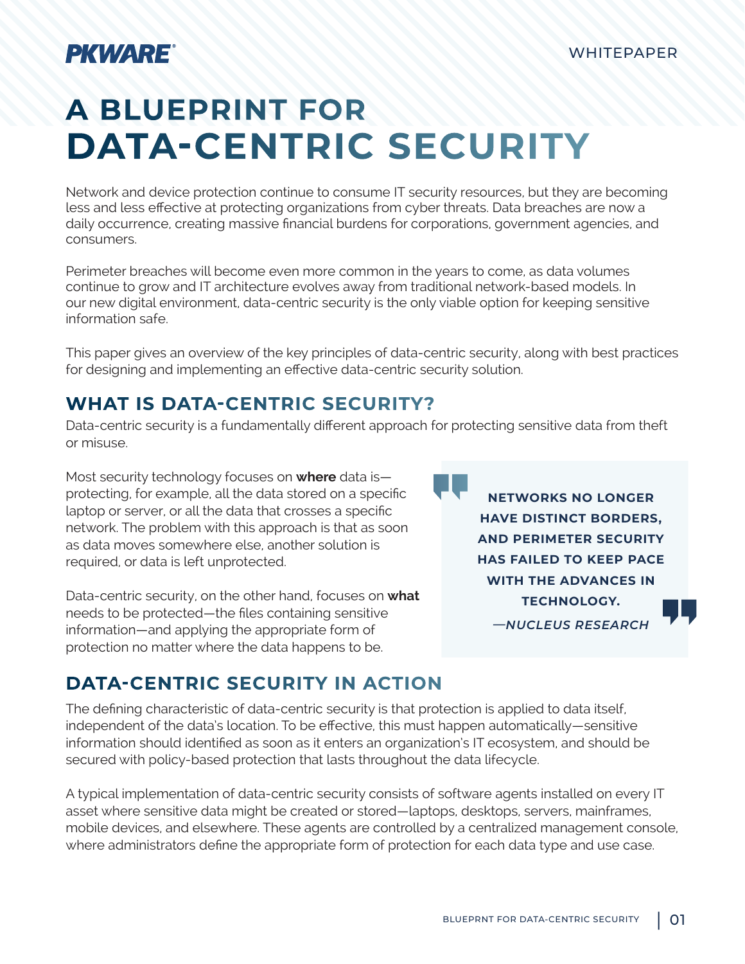# **PKWARE**

# **A BLUEPRINT FOR DATA-CENTRIC SECURITY**

Network and device protection continue to consume IT security resources, but they are becoming less and less effective at protecting organizations from cyber threats. Data breaches are now a daily occurrence, creating massive financial burdens for corporations, government agencies, and consumers.

Perimeter breaches will become even more common in the years to come, as data volumes continue to grow and IT architecture evolves away from traditional network-based models. In our new digital environment, data-centric security is the only viable option for keeping sensitive information safe.

This paper gives an overview of the key principles of data-centric security, along with best practices for designing and implementing an effective data-centric security solution.

### **WHAT IS DATA-CENTRIC SECURITY?**

Data-centric security is a fundamentally different approach for protecting sensitive data from theft or misuse.

Most security technology focuses on **where** data is protecting, for example, all the data stored on a specific laptop or server, or all the data that crosses a specific network. The problem with this approach is that as soon as data moves somewhere else, another solution is required, or data is left unprotected.

Data-centric security, on the other hand, focuses on **what** needs to be protected—the files containing sensitive information—and applying the appropriate form of protection no matter where the data happens to be.

**NETWORKS NO LONGER HAVE DISTINCT BORDERS, AND PERIMETER SECURITY HAS FAILED TO KEEP PACE WITH THE ADVANCES IN TECHNOLOGY.** *—NUCLEUS RESEARCH*

### **DATA-CENTRIC SECURITY IN ACTION**

The defining characteristic of data-centric security is that protection is applied to data itself, independent of the data's location. To be effective, this must happen automatically—sensitive information should identified as soon as it enters an organization's IT ecosystem, and should be secured with policy-based protection that lasts throughout the data lifecycle.

A typical implementation of data-centric security consists of software agents installed on every IT asset where sensitive data might be created or stored—laptops, desktops, servers, mainframes, mobile devices, and elsewhere. These agents are controlled by a centralized management console, where administrators define the appropriate form of protection for each data type and use case.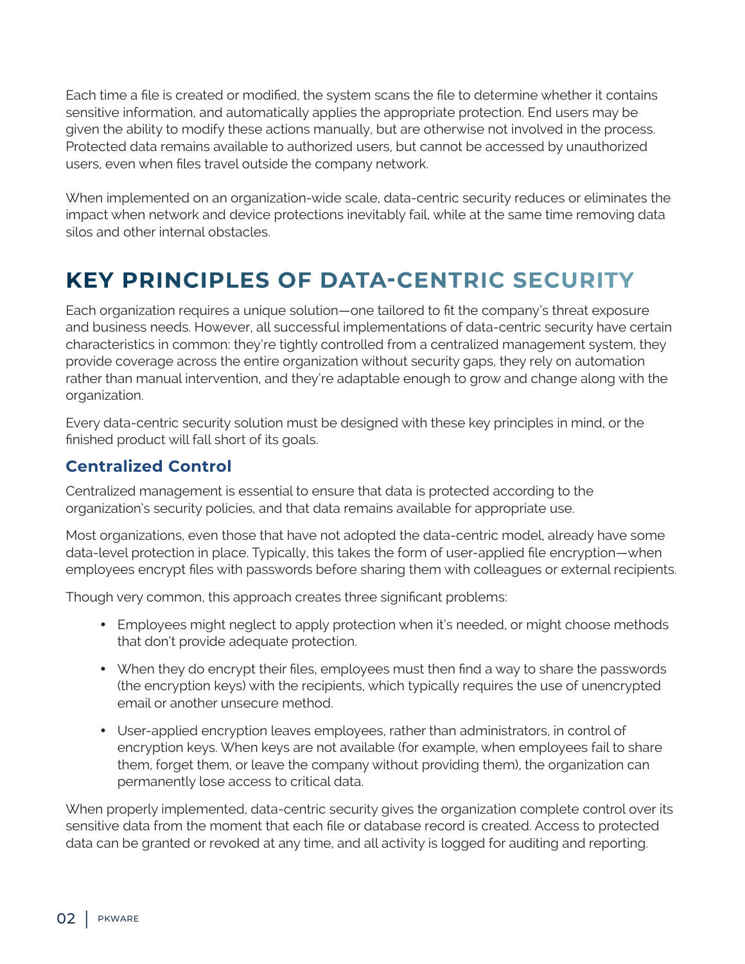Each time a file is created or modified, the system scans the file to determine whether it contains sensitive information, and automatically applies the appropriate protection. End users may be given the ability to modify these actions manually, but are otherwise not involved in the process. Protected data remains available to authorized users, but cannot be accessed by unauthorized users, even when files travel outside the company network.

When implemented on an organization-wide scale, data-centric security reduces or eliminates the impact when network and device protections inevitably fail, while at the same time removing data silos and other internal obstacles.

## **KEY PRINCIPLES OF DATA-CENTRIC SECURITY**

Each organization requires a unique solution—one tailored to fit the company's threat exposure and business needs. However, all successful implementations of data-centric security have certain characteristics in common: they're tightly controlled from a centralized management system, they provide coverage across the entire organization without security gaps, they rely on automation rather than manual intervention, and they're adaptable enough to grow and change along with the organization.

Every data-centric security solution must be designed with these key principles in mind, or the finished product will fall short of its goals.

#### **Centralized Control**

Centralized management is essential to ensure that data is protected according to the organization's security policies, and that data remains available for appropriate use.

Most organizations, even those that have not adopted the data-centric model, already have some data-level protection in place. Typically, this takes the form of user-applied file encryption—when employees encrypt files with passwords before sharing them with colleagues or external recipients.

Though very common, this approach creates three significant problems:

- Employees might neglect to apply protection when it's needed, or might choose methods that don't provide adequate protection.
- When they do encrypt their files, employees must then find a way to share the passwords (the encryption keys) with the recipients, which typically requires the use of unencrypted email or another unsecure method.
- User-applied encryption leaves employees, rather than administrators, in control of encryption keys. When keys are not available (for example, when employees fail to share them, forget them, or leave the company without providing them), the organization can permanently lose access to critical data.

When properly implemented, data-centric security gives the organization complete control over its sensitive data from the moment that each file or database record is created. Access to protected data can be granted or revoked at any time, and all activity is logged for auditing and reporting.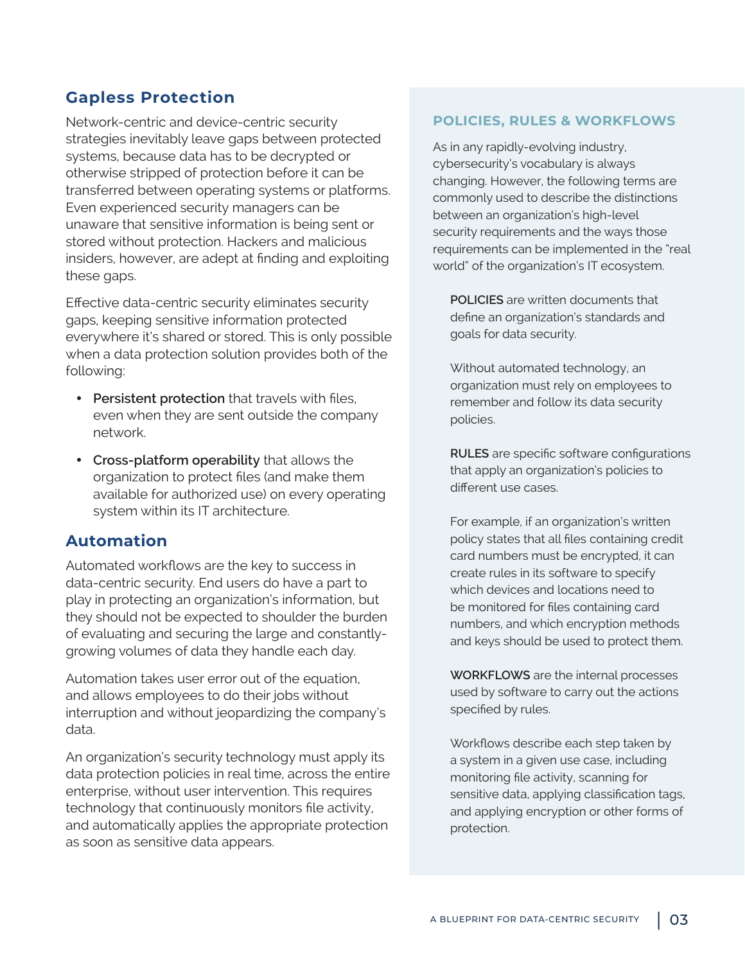#### **Gapless Protection**

Network-centric and device-centric security strategies inevitably leave gaps between protected systems, because data has to be decrypted or otherwise stripped of protection before it can be transferred between operating systems or platforms. Even experienced security managers can be unaware that sensitive information is being sent or stored without protection. Hackers and malicious insiders, however, are adept at finding and exploiting these gaps.

Effective data-centric security eliminates security gaps, keeping sensitive information protected everywhere it's shared or stored. This is only possible when a data protection solution provides both of the following:

- **Persistent protection** that travels with files, even when they are sent outside the company network.
- **Cross-platform operability** that allows the organization to protect files (and make them available for authorized use) on every operating system within its IT architecture.

#### **Automation**

Automated workflows are the key to success in data-centric security. End users do have a part to play in protecting an organization's information, but they should not be expected to shoulder the burden of evaluating and securing the large and constantlygrowing volumes of data they handle each day.

Automation takes user error out of the equation, and allows employees to do their jobs without interruption and without jeopardizing the company's data.

An organization's security technology must apply its data protection policies in real time, across the entire enterprise, without user intervention. This requires technology that continuously monitors file activity, and automatically applies the appropriate protection as soon as sensitive data appears.

#### **POLICIES, RULES & WORKFLOWS**

As in any rapidly-evolving industry, cybersecurity's vocabulary is always changing. However, the following terms are commonly used to describe the distinctions between an organization's high-level security requirements and the ways those requirements can be implemented in the "real world" of the organization's IT ecosystem.

**POLICIES** are written documents that define an organization's standards and goals for data security.

Without automated technology, an organization must rely on employees to remember and follow its data security policies.

**RULES** are specific software configurations that apply an organization's policies to different use cases.

For example, if an organization's written policy states that all files containing credit card numbers must be encrypted, it can create rules in its software to specify which devices and locations need to be monitored for files containing card numbers, and which encryption methods and keys should be used to protect them.

**WORKFLOWS** are the internal processes used by software to carry out the actions specified by rules.

Workflows describe each step taken by a system in a given use case, including monitoring file activity, scanning for sensitive data, applying classification tags, and applying encryption or other forms of protection.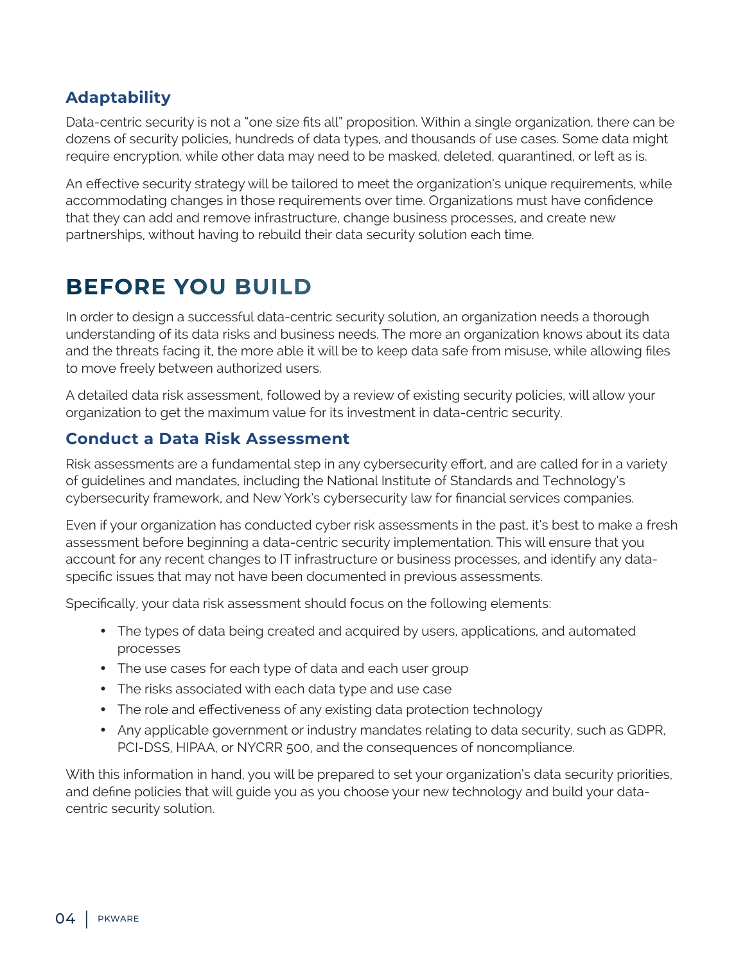#### **Adaptability**

Data-centric security is not a "one size fits all" proposition. Within a single organization, there can be dozens of security policies, hundreds of data types, and thousands of use cases. Some data might require encryption, while other data may need to be masked, deleted, quarantined, or left as is.

An effective security strategy will be tailored to meet the organization's unique requirements, while accommodating changes in those requirements over time. Organizations must have confidence that they can add and remove infrastructure, change business processes, and create new partnerships, without having to rebuild their data security solution each time.

### **BEFORE YOU BUILD**

In order to design a successful data-centric security solution, an organization needs a thorough understanding of its data risks and business needs. The more an organization knows about its data and the threats facing it, the more able it will be to keep data safe from misuse, while allowing files to move freely between authorized users.

A detailed data risk assessment, followed by a review of existing security policies, will allow your organization to get the maximum value for its investment in data-centric security.

#### **Conduct a Data Risk Assessment**

Risk assessments are a fundamental step in any cybersecurity effort, and are called for in a variety of guidelines and mandates, including the National Institute of Standards and Technology's cybersecurity framework, and New York's cybersecurity law for financial services companies.

Even if your organization has conducted cyber risk assessments in the past, it's best to make a fresh assessment before beginning a data-centric security implementation. This will ensure that you account for any recent changes to IT infrastructure or business processes, and identify any dataspecific issues that may not have been documented in previous assessments.

Specifically, your data risk assessment should focus on the following elements:

- The types of data being created and acquired by users, applications, and automated processes
- The use cases for each type of data and each user group
- The risks associated with each data type and use case
- The role and effectiveness of any existing data protection technology
- Any applicable government or industry mandates relating to data security, such as GDPR, PCI-DSS, HIPAA, or NYCRR 500, and the consequences of noncompliance.

With this information in hand, you will be prepared to set your organization's data security priorities, and define policies that will guide you as you choose your new technology and build your datacentric security solution.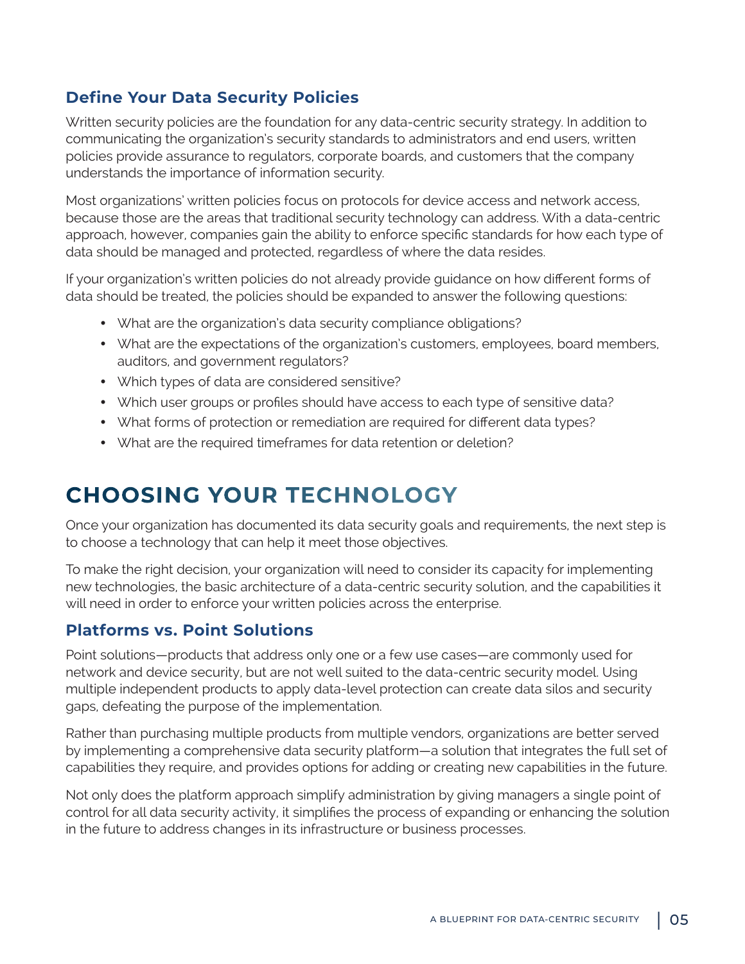#### **Define Your Data Security Policies**

Written security policies are the foundation for any data-centric security strategy. In addition to communicating the organization's security standards to administrators and end users, written policies provide assurance to regulators, corporate boards, and customers that the company understands the importance of information security.

Most organizations' written policies focus on protocols for device access and network access, because those are the areas that traditional security technology can address. With a data-centric approach, however, companies gain the ability to enforce specific standards for how each type of data should be managed and protected, regardless of where the data resides.

If your organization's written policies do not already provide guidance on how different forms of data should be treated, the policies should be expanded to answer the following questions:

- What are the organization's data security compliance obligations?
- What are the expectations of the organization's customers, employees, board members, auditors, and government regulators?
- Which types of data are considered sensitive?
- Which user groups or profiles should have access to each type of sensitive data?
- What forms of protection or remediation are required for different data types?
- What are the required timeframes for data retention or deletion?

### **CHOOSING YOUR TECHNOLOGY**

Once your organization has documented its data security goals and requirements, the next step is to choose a technology that can help it meet those objectives.

To make the right decision, your organization will need to consider its capacity for implementing new technologies, the basic architecture of a data-centric security solution, and the capabilities it will need in order to enforce your written policies across the enterprise.

#### **Platforms vs. Point Solutions**

Point solutions—products that address only one or a few use cases—are commonly used for network and device security, but are not well suited to the data-centric security model. Using multiple independent products to apply data-level protection can create data silos and security gaps, defeating the purpose of the implementation.

Rather than purchasing multiple products from multiple vendors, organizations are better served by implementing a comprehensive data security platform—a solution that integrates the full set of capabilities they require, and provides options for adding or creating new capabilities in the future.

Not only does the platform approach simplify administration by giving managers a single point of control for all data security activity, it simplifies the process of expanding or enhancing the solution in the future to address changes in its infrastructure or business processes.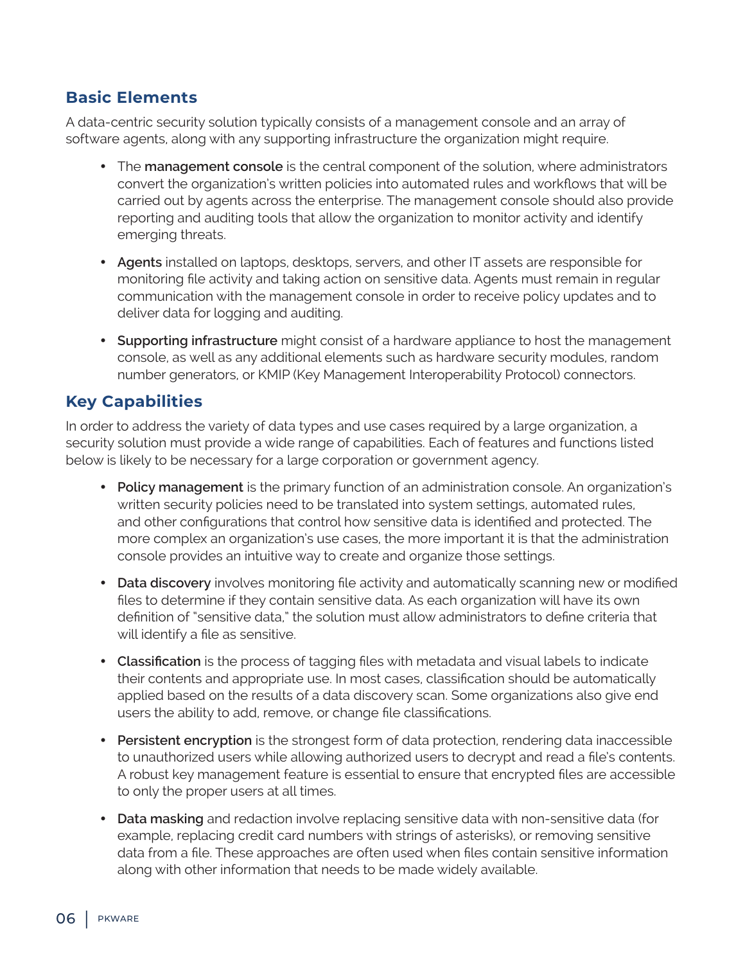#### **Basic Elements**

A data-centric security solution typically consists of a management console and an array of software agents, along with any supporting infrastructure the organization might require.

- The **management console** is the central component of the solution, where administrators convert the organization's written policies into automated rules and workflows that will be carried out by agents across the enterprise. The management console should also provide reporting and auditing tools that allow the organization to monitor activity and identify emerging threats.
- y **Agents** installed on laptops, desktops, servers, and other IT assets are responsible for monitoring file activity and taking action on sensitive data. Agents must remain in regular communication with the management console in order to receive policy updates and to deliver data for logging and auditing.
- **Supporting infrastructure** might consist of a hardware appliance to host the management console, as well as any additional elements such as hardware security modules, random number generators, or KMIP (Key Management Interoperability Protocol) connectors.

#### **Key Capabilities**

In order to address the variety of data types and use cases required by a large organization, a security solution must provide a wide range of capabilities. Each of features and functions listed below is likely to be necessary for a large corporation or government agency.

- **Policy management** is the primary function of an administration console. An organization's written security policies need to be translated into system settings, automated rules, and other configurations that control how sensitive data is identified and protected. The more complex an organization's use cases, the more important it is that the administration console provides an intuitive way to create and organize those settings.
- **Data discovery** involves monitoring file activity and automatically scanning new or modified files to determine if they contain sensitive data. As each organization will have its own definition of "sensitive data," the solution must allow administrators to define criteria that will identify a file as sensitive.
- **Classification** is the process of tagging files with metadata and visual labels to indicate their contents and appropriate use. In most cases, classification should be automatically applied based on the results of a data discovery scan. Some organizations also give end users the ability to add, remove, or change file classifications.
- **Persistent encryption** is the strongest form of data protection, rendering data inaccessible to unauthorized users while allowing authorized users to decrypt and read a file's contents. A robust key management feature is essential to ensure that encrypted files are accessible to only the proper users at all times.
- **Data masking** and redaction involve replacing sensitive data with non-sensitive data (for example, replacing credit card numbers with strings of asterisks), or removing sensitive data from a file. These approaches are often used when files contain sensitive information along with other information that needs to be made widely available.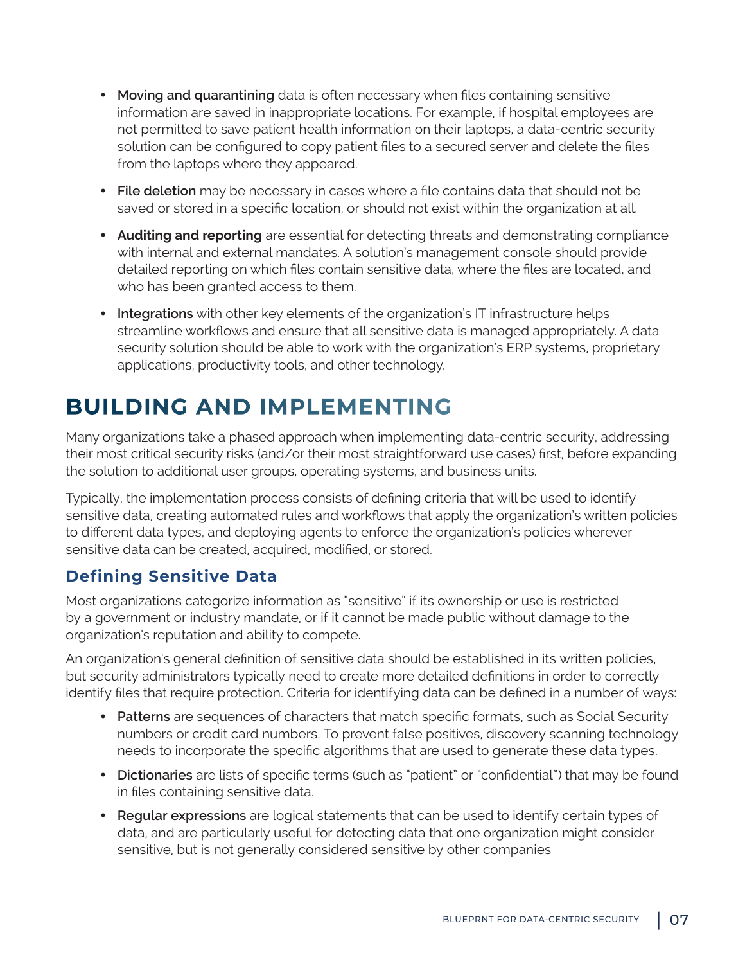- **Moving and quarantining** data is often necessary when files containing sensitive information are saved in inappropriate locations. For example, if hospital employees are not permitted to save patient health information on their laptops, a data-centric security solution can be configured to copy patient files to a secured server and delete the files from the laptops where they appeared.
- File deletion may be necessary in cases where a file contains data that should not be saved or stored in a specific location, or should not exist within the organization at all.
- **Auditing and reporting** are essential for detecting threats and demonstrating compliance with internal and external mandates. A solution's management console should provide detailed reporting on which files contain sensitive data, where the files are located, and who has been granted access to them.
- Integrations with other key elements of the organization's IT infrastructure helps streamline workflows and ensure that all sensitive data is managed appropriately. A data security solution should be able to work with the organization's ERP systems, proprietary applications, productivity tools, and other technology.

## **BUILDING AND IMPLEMENTING**

Many organizations take a phased approach when implementing data-centric security, addressing their most critical security risks (and/or their most straightforward use cases) first, before expanding the solution to additional user groups, operating systems, and business units.

Typically, the implementation process consists of defining criteria that will be used to identify sensitive data, creating automated rules and workflows that apply the organization's written policies to different data types, and deploying agents to enforce the organization's policies wherever sensitive data can be created, acquired, modified, or stored.

#### **Defining Sensitive Data**

Most organizations categorize information as "sensitive" if its ownership or use is restricted by a government or industry mandate, or if it cannot be made public without damage to the organization's reputation and ability to compete.

An organization's general definition of sensitive data should be established in its written policies, but security administrators typically need to create more detailed definitions in order to correctly identify files that require protection. Criteria for identifying data can be defined in a number of ways:

- Patterns are sequences of characters that match specific formats, such as Social Security numbers or credit card numbers. To prevent false positives, discovery scanning technology needs to incorporate the specific algorithms that are used to generate these data types.
- **Dictionaries** are lists of specific terms (such as "patient" or "confidential") that may be found in files containing sensitive data.
- Regular expressions are logical statements that can be used to identify certain types of data, and are particularly useful for detecting data that one organization might consider sensitive, but is not generally considered sensitive by other companies